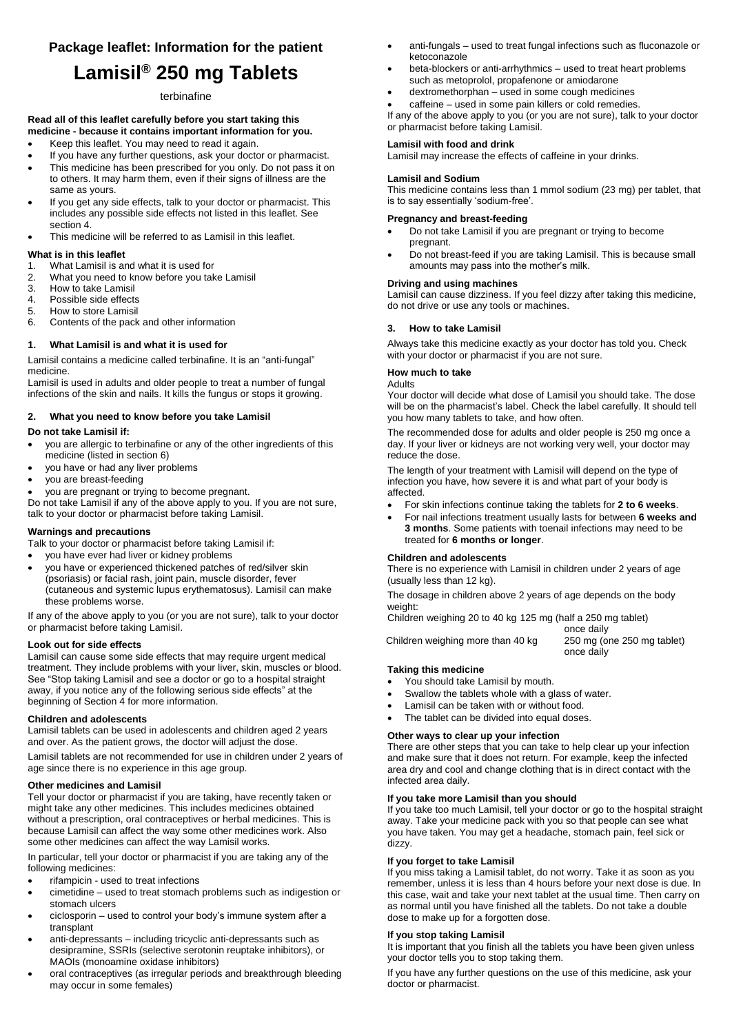# **Package leaflet: Information for the patient**

# **Lamisil® 250 mg Tablets**

### terbinafine

#### **Read all of this leaflet carefully before you start taking this medicine - because it contains important information for you.**

- Keep this leaflet. You may need to read it again.
- If you have any further questions, ask your doctor or pharmacist.
- This medicine has been prescribed for you only. Do not pass it on to others. It may harm them, even if their signs of illness are the same as yours.
- If you get any side effects, talk to your doctor or pharmacist. This includes any possible side effects not listed in this leaflet. See section 4.
- This medicine will be referred to as Lamisil in this leaflet.

#### **What is in this leaflet**

- 1. What Lamisil is and what it is used for
- 2. What you need to know before you take Lamisil
- 3. How to take Lamisil<br>4. Possible side effects
- Possible side effects
- 5. How to store Lamisil
- 6. Contents of the pack and other information

### **1. What Lamisil is and what it is used for**

Lamisil contains a medicine called terbinafine. It is an "anti-fungal" medicine.

Lamisil is used in adults and older people to treat a number of fungal infections of the skin and nails. It kills the fungus or stops it growing.

### **2. What you need to know before you take Lamisil**

#### **Do not take Lamisil if:**

- you are allergic to terbinafine or any of the other ingredients of this medicine (listed in section 6)
- you have or had any liver problems
- you are breast-feeding
- you are pregnant or trying to become pregnant.

Do not take Lamisil if any of the above apply to you. If you are not sure, talk to your doctor or pharmacist before taking Lamisil.

### **Warnings and precautions**

Talk to your doctor or pharmacist before taking Lamisil if:

- you have ever had liver or kidney problems
- you have or experienced thickened patches of red/silver skin (psoriasis) or facial rash, joint pain, muscle disorder, fever (cutaneous and systemic lupus erythematosus). Lamisil can make these problems worse.

If any of the above apply to you (or you are not sure), talk to your doctor or pharmacist before taking Lamisil.

#### **Look out for side effects**

Lamisil can cause some side effects that may require urgent medical treatment. They include problems with your liver, skin, muscles or blood. See "Stop taking Lamisil and see a doctor or go to a hospital straight away, if you notice any of the following serious side effects" at the beginning of Section 4 for more information.

#### **Children and adolescents**

Lamisil tablets can be used in adolescents and children aged 2 years and over. As the patient grows, the doctor will adjust the dose.

Lamisil tablets are not recommended for use in children under 2 years of age since there is no experience in this age group.

#### **Other medicines and Lamisil**

Tell your doctor or pharmacist if you are taking, have recently taken or might take any other medicines. This includes medicines obtained without a prescription, oral contraceptives or herbal medicines. This is because Lamisil can affect the way some other medicines work. Also some other medicines can affect the way Lamisil works.

In particular, tell your doctor or pharmacist if you are taking any of the following medicines:

- rifampicin used to treat infections
- cimetidine used to treat stomach problems such as indigestion or stomach ulcers
- ciclosporin used to control your body's immune system after a transplant
- anti-depressants including tricyclic anti-depressants such as desipramine, SSRIs (selective serotonin reuptake inhibitors), or MAOIs (monoamine oxidase inhibitors)
- oral contraceptives (as irregular periods and breakthrough bleeding may occur in some females)
- anti-fungals used to treat fungal infections such as fluconazole or ketoconazole
- beta-blockers or anti-arrhythmics used to treat heart problems such as metoprolol, propafenone or amiodarone
- dextromethorphan used in some cough medicines
- caffeine used in some pain killers or cold remedies.

If any of the above apply to you (or you are not sure), talk to your doctor or pharmacist before taking Lamisil.

#### **Lamisil with food and drink**

Lamisil may increase the effects of caffeine in your drinks.

#### **Lamisil and Sodium**

This medicine contains less than 1 mmol sodium (23 mg) per tablet, that is to say essentially 'sodium-free'.

#### **Pregnancy and breast-feeding**

- Do not take Lamisil if you are pregnant or trying to become pregnant.
- Do not breast-feed if you are taking Lamisil. This is because small amounts may pass into the mother's milk.

#### **Driving and using machines**

Lamisil can cause dizziness. If you feel dizzy after taking this medicine, do not drive or use any tools or machines.

### **3. How to take Lamisil**

Always take this medicine exactly as your doctor has told you. Check with your doctor or pharmacist if you are not sure.

#### **How much to take**

Adults

Your doctor will decide what dose of Lamisil you should take. The dose will be on the pharmacist's label. Check the label carefully. It should tell you how many tablets to take, and how often.

The recommended dose for adults and older people is 250 mg once a day. If your liver or kidneys are not working very well, your doctor may reduce the dose.

The length of your treatment with Lamisil will depend on the type of infection you have, how severe it is and what part of your body is affected.

- For skin infections continue taking the tablets for **2 to 6 weeks**.
- For nail infections treatment usually lasts for between **6 weeks and 3 months**. Some patients with toenail infections may need to be treated for **6 months or longer**.

## **Children and adolescents**

There is no experience with Lamisil in children under 2 years of age (usually less than 12 kg).

The dosage in children above 2 years of age depends on the body weight:

Children weighing 20 to 40 kg 125 mg (half a 250 mg tablet)

once daily<br>250 mg (one 250 mg tablet) once daily

#### **Taking this medicine**

You should take Lamisil by mouth.

Children weighing more than 40 kg

- Swallow the tablets whole with a glass of water.
- Lamisil can be taken with or without food.
- The tablet can be divided into equal doses.

#### **Other ways to clear up your infection**

There are other steps that you can take to help clear up your infection and make sure that it does not return. For example, keep the infected area dry and cool and change clothing that is in direct contact with the infected area daily.

#### **If you take more Lamisil than you should**

If you take too much Lamisil, tell your doctor or go to the hospital straight away. Take your medicine pack with you so that people can see what you have taken. You may get a headache, stomach pain, feel sick or dizzy.

#### **If you forget to take Lamisil**

If you miss taking a Lamisil tablet, do not worry. Take it as soon as you remember, unless it is less than 4 hours before your next dose is due. In this case, wait and take your next tablet at the usual time. Then carry on as normal until you have finished all the tablets. Do not take a double dose to make up for a forgotten dose.

### **If you stop taking Lamisil**

It is important that you finish all the tablets you have been given unless your doctor tells you to stop taking them.

If you have any further questions on the use of this medicine, ask your doctor or pharmacist.